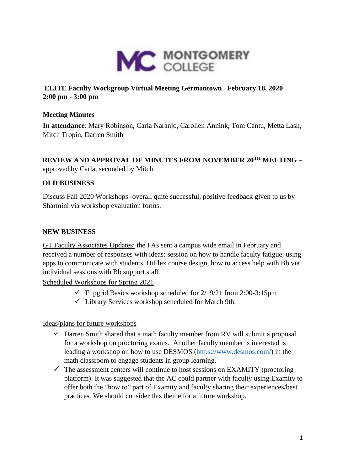

## **ELITE Faculty Workgroup Virtual Meeting Germantown February 18, 2020 2:00 pm - 3:00 pm**

### **Meeting Minutes**

**In attendance**: Mary Robinson, Carla Naranjo, Carolien Annink, Tom Cantu, Metta Lash, Mitch Tropin, Darren Smith

# **REVIEW AND APPROVAL OF MINUTES FROM NOVEMBER 20TH MEETING –**

approved by Carla, seconded by Mitch.

## **OLD BUSINESS**

Discuss Fall 2020 Workshops -overall quite successful, positive feedback given to us by Sharmini via workshop evaluation forms.

### **NEW BUSINESS**

GT Faculty Associates Updates: the FAs sent a campus wide email in February and received a number of responses with ideas: session on how to handle faculty fatigue, using apps to communicate with students, HiFlex course design, how to access help with Bb via individual sessions with Bb support staff.

Scheduled Workshops for Spring 2021

- $\checkmark$  Flipgrid Basics workshop scheduled for 2/19/21 from 2:00-3:15pm
- $\checkmark$  Library Services workshop scheduled for March 9th.

Ideas/plans for future workshops

- $\checkmark$  Darren Smith shared that a math faculty member from RV will submit a proposal for a workshop on proctoring exams. Another faculty member is interested is leading a workshop on how to use DESMOS [\(https://www.desmos.com/\)](https://www.desmos.com/) in the math classroom to engage students in group learning.
- $\checkmark$  The assessment centers will continue to host sessions on EXAMITY (proctoring platform). It was suggested that the AC could partner with faculty using Examity to offer both the "how to" part of Examity and faculty sharing their experiences/best practices. We should consider this theme for a future workshop.